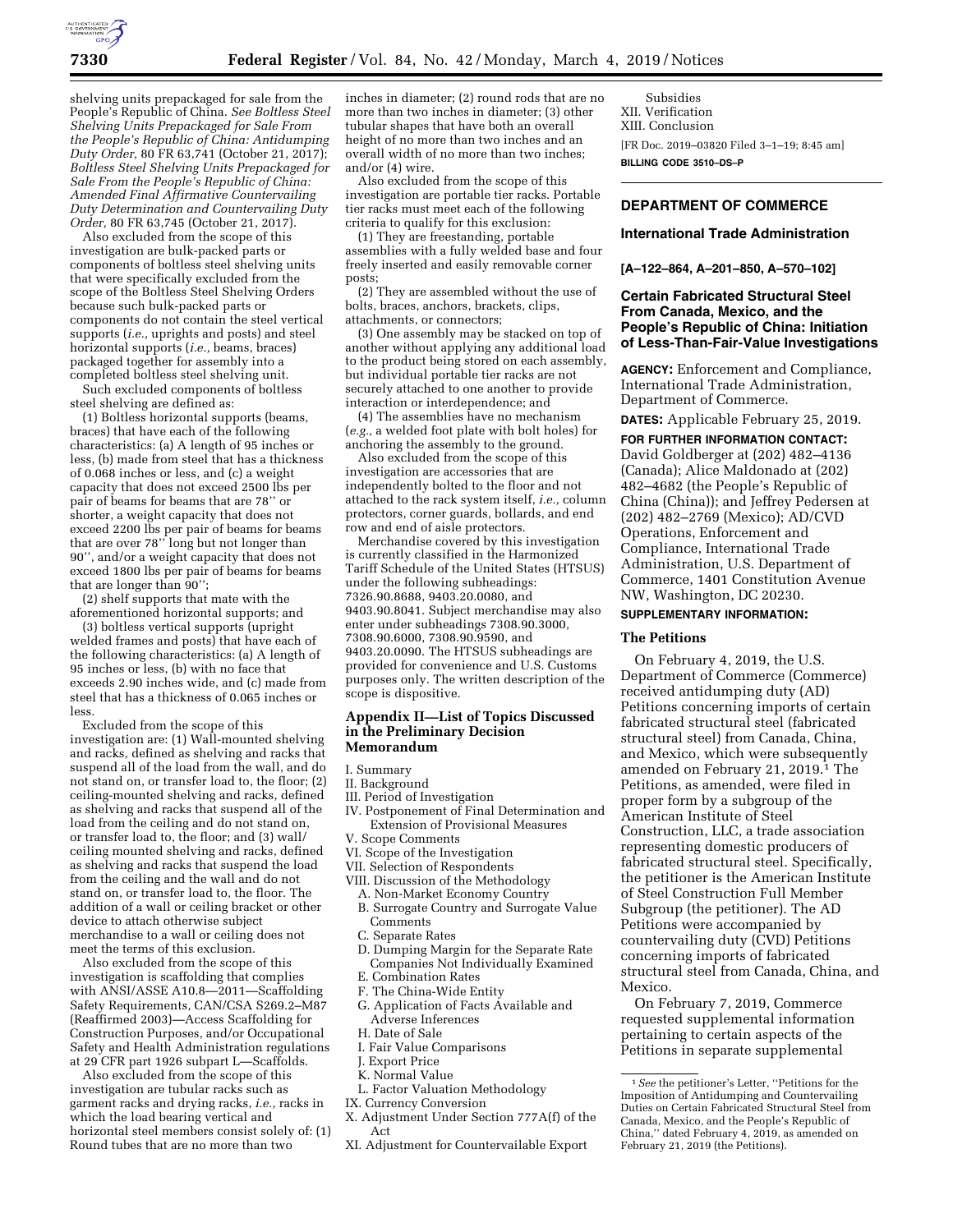

shelving units prepackaged for sale from the People's Republic of China. *See Boltless Steel Shelving Units Prepackaged for Sale From the People's Republic of China: Antidumping Duty Order,* 80 FR 63,741 (October 21, 2017); *Boltless Steel Shelving Units Prepackaged for Sale From the People's Republic of China: Amended Final Affirmative Countervailing Duty Determination and Countervailing Duty Order,* 80 FR 63,745 (October 21, 2017).

Also excluded from the scope of this investigation are bulk-packed parts or components of boltless steel shelving units that were specifically excluded from the scope of the Boltless Steel Shelving Orders because such bulk-packed parts or components do not contain the steel vertical supports (*i.e.,* uprights and posts) and steel horizontal supports (*i.e.,* beams, braces) packaged together for assembly into a completed boltless steel shelving unit.

Such excluded components of boltless steel shelving are defined as:

(1) Boltless horizontal supports (beams, braces) that have each of the following characteristics: (a) A length of 95 inches or less, (b) made from steel that has a thickness of 0.068 inches or less, and (c) a weight capacity that does not exceed 2500 lbs per pair of beams for beams that are 78'' or shorter, a weight capacity that does not exceed 2200 lbs per pair of beams for beams that are over 78'' long but not longer than 90'', and/or a weight capacity that does not exceed 1800 lbs per pair of beams for beams that are longer than  $90$ ";

(2) shelf supports that mate with the aforementioned horizontal supports; and

(3) boltless vertical supports (upright welded frames and posts) that have each of the following characteristics: (a) A length of 95 inches or less, (b) with no face that exceeds 2.90 inches wide, and (c) made from steel that has a thickness of 0.065 inches or less.

Excluded from the scope of this investigation are: (1) Wall-mounted shelving and racks, defined as shelving and racks that suspend all of the load from the wall, and do not stand on, or transfer load to, the floor; (2) ceiling-mounted shelving and racks, defined as shelving and racks that suspend all of the load from the ceiling and do not stand on, or transfer load to, the floor; and (3) wall/ ceiling mounted shelving and racks, defined as shelving and racks that suspend the load from the ceiling and the wall and do not stand on, or transfer load to, the floor. The addition of a wall or ceiling bracket or other device to attach otherwise subject merchandise to a wall or ceiling does not meet the terms of this exclusion.

Also excluded from the scope of this investigation is scaffolding that complies with ANSI/ASSE A10.8-2011-Scaffolding Safety Requirements, CAN/CSA S269.2–M87 (Reaffirmed 2003)—Access Scaffolding for Construction Purposes, and/or Occupational Safety and Health Administration regulations at 29 CFR part 1926 subpart L—Scaffolds.

Also excluded from the scope of this investigation are tubular racks such as garment racks and drying racks, *i.e.,* racks in which the load bearing vertical and horizontal steel members consist solely of: (1) Round tubes that are no more than two

inches in diameter; (2) round rods that are no more than two inches in diameter; (3) other tubular shapes that have both an overall height of no more than two inches and an overall width of no more than two inches; and/or (4) wire.

Also excluded from the scope of this investigation are portable tier racks. Portable tier racks must meet each of the following criteria to qualify for this exclusion:

(1) They are freestanding, portable assemblies with a fully welded base and four freely inserted and easily removable corner posts;

(2) They are assembled without the use of bolts, braces, anchors, brackets, clips, attachments, or connectors;

(3) One assembly may be stacked on top of another without applying any additional load to the product being stored on each assembly, but individual portable tier racks are not securely attached to one another to provide interaction or interdependence; and

(4) The assemblies have no mechanism (*e.g.,* a welded foot plate with bolt holes) for anchoring the assembly to the ground.

Also excluded from the scope of this investigation are accessories that are independently bolted to the floor and not attached to the rack system itself, *i.e.,* column protectors, corner guards, bollards, and end row and end of aisle protectors.

Merchandise covered by this investigation is currently classified in the Harmonized Tariff Schedule of the United States (HTSUS) under the following subheadings: 7326.90.8688, 9403.20.0080, and 9403.90.8041. Subject merchandise may also enter under subheadings 7308.90.3000, 7308.90.6000, 7308.90.9590, and 9403.20.0090. The HTSUS subheadings are provided for convenience and U.S. Customs purposes only. The written description of the scope is dispositive.

### **Appendix II—List of Topics Discussed in the Preliminary Decision Memorandum**

#### I. Summary

- II. Background
- III. Period of Investigation
- IV. Postponement of Final Determination and Extension of Provisional Measures
- V. Scope Comments
- VI. Scope of the Investigation
- VII. Selection of Respondents
- VIII. Discussion of the Methodology
	- A. Non-Market Economy Country B. Surrogate Country and Surrogate Value
	- Comments
	- C. Separate Rates
	- D. Dumping Margin for the Separate Rate Companies Not Individually Examined
	- E. Combination Rates
	- F. The China-Wide Entity
	- G. Application of Facts Available and Adverse Inferences
	- H. Date of Sale
	- I. Fair Value Comparisons
	- J. Export Price
- K. Normal Value
- L. Factor Valuation Methodology
- IX. Currency Conversion
- X. Adjustment Under Section 777A(f) of the Act
- XI. Adjustment for Countervailable Export

Subsidies XII. Verification XIII. Conclusion

[FR Doc. 2019–03820 Filed 3–1–19; 8:45 am]

**BILLING CODE 3510–DS–P** 

# **DEPARTMENT OF COMMERCE**

### **International Trade Administration**

## **[A–122–864, A–201–850, A–570–102]**

## **Certain Fabricated Structural Steel From Canada, Mexico, and the People's Republic of China: Initiation of Less-Than-Fair-Value Investigations**

**AGENCY:** Enforcement and Compliance, International Trade Administration, Department of Commerce.

**DATES:** Applicable February 25, 2019.

**FOR FURTHER INFORMATION CONTACT:**  David Goldberger at (202) 482–4136 (Canada); Alice Maldonado at (202) 482–4682 (the People's Republic of China (China)); and Jeffrey Pedersen at (202) 482–2769 (Mexico); AD/CVD Operations, Enforcement and Compliance, International Trade Administration, U.S. Department of Commerce, 1401 Constitution Avenue NW, Washington, DC 20230.

## **SUPPLEMENTARY INFORMATION:**

## **The Petitions**

On February 4, 2019, the U.S. Department of Commerce (Commerce) received antidumping duty (AD) Petitions concerning imports of certain fabricated structural steel (fabricated structural steel) from Canada, China, and Mexico, which were subsequently amended on February 21, 2019.<sup>1</sup> The Petitions, as amended, were filed in proper form by a subgroup of the American Institute of Steel Construction, LLC, a trade association representing domestic producers of fabricated structural steel. Specifically, the petitioner is the American Institute of Steel Construction Full Member Subgroup (the petitioner). The AD Petitions were accompanied by countervailing duty (CVD) Petitions concerning imports of fabricated structural steel from Canada, China, and Mexico.

On February 7, 2019, Commerce requested supplemental information pertaining to certain aspects of the Petitions in separate supplemental

<sup>1</sup>*See* the petitioner's Letter, ''Petitions for the Imposition of Antidumping and Countervailing Duties on Certain Fabricated Structural Steel from Canada, Mexico, and the People's Republic of China,'' dated February 4, 2019, as amended on February 21, 2019 (the Petitions).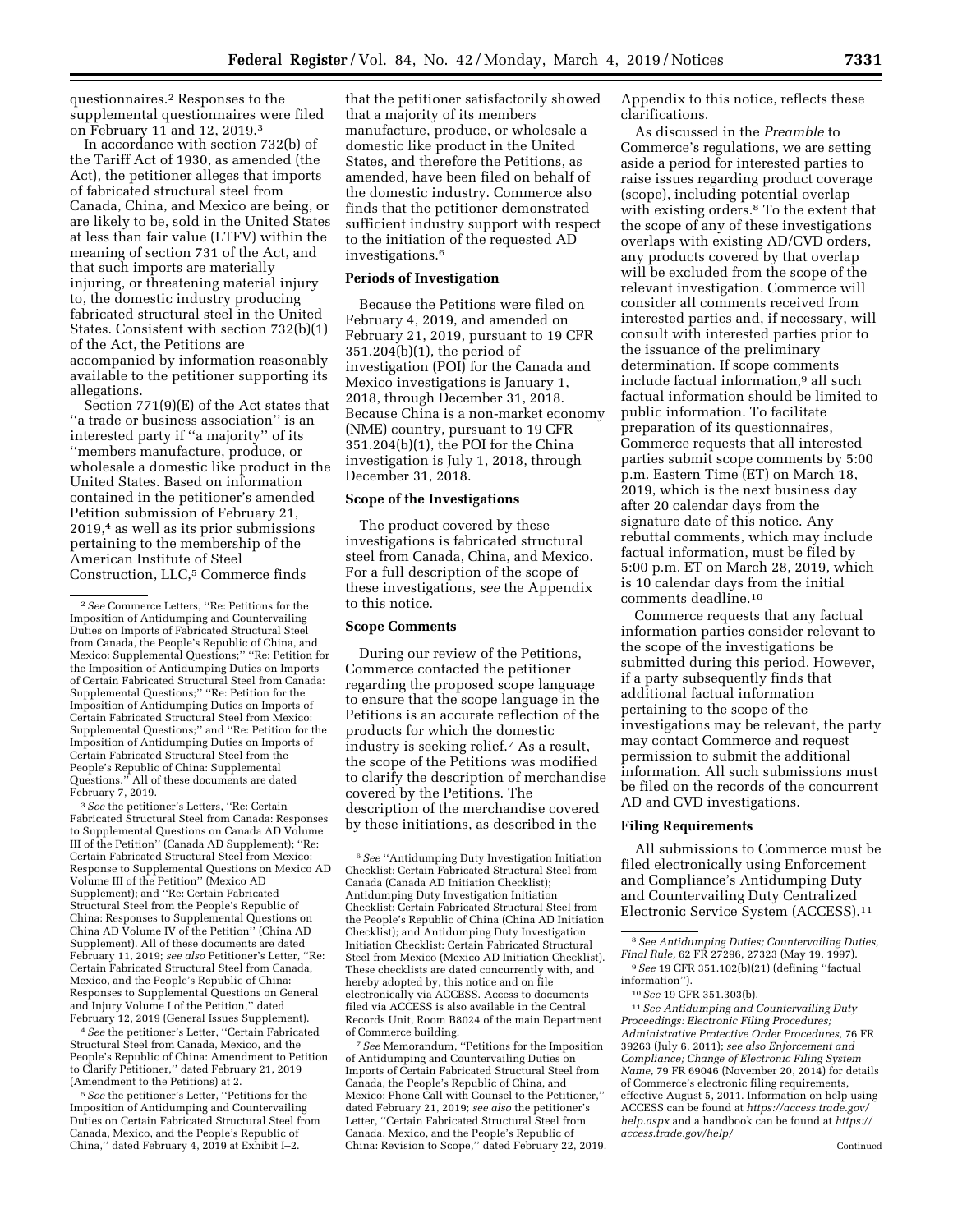questionnaires.2 Responses to the supplemental questionnaires were filed

on February 11 and 12, 2019.3 In accordance with section 732(b) of the Tariff Act of 1930, as amended (the Act), the petitioner alleges that imports of fabricated structural steel from Canada, China, and Mexico are being, or are likely to be, sold in the United States at less than fair value (LTFV) within the meaning of section 731 of the Act, and that such imports are materially injuring, or threatening material injury to, the domestic industry producing fabricated structural steel in the United States. Consistent with section 732(b)(1) of the Act, the Petitions are accompanied by information reasonably available to the petitioner supporting its allegations.

Section 771(9)(E) of the Act states that ''a trade or business association'' is an interested party if ''a majority'' of its ''members manufacture, produce, or wholesale a domestic like product in the United States. Based on information contained in the petitioner's amended Petition submission of February 21, 2019,4 as well as its prior submissions pertaining to the membership of the American Institute of Steel Construction, LLC,<sup>5</sup> Commerce finds

3*See* the petitioner's Letters, ''Re: Certain Fabricated Structural Steel from Canada: Responses to Supplemental Questions on Canada AD Volume III of the Petition'' (Canada AD Supplement); ''Re: Certain Fabricated Structural Steel from Mexico: Response to Supplemental Questions on Mexico AD Volume III of the Petition'' (Mexico AD Supplement); and ''Re: Certain Fabricated Structural Steel from the People's Republic of China: Responses to Supplemental Questions on China AD Volume IV of the Petition'' (China AD Supplement). All of these documents are dated February 11, 2019; *see also* Petitioner's Letter, ''Re: Certain Fabricated Structural Steel from Canada, Mexico, and the People's Republic of China: Responses to Supplemental Questions on General and Injury Volume I of the Petition,'' dated February 12, 2019 (General Issues Supplement).

4*See* the petitioner's Letter, ''Certain Fabricated Structural Steel from Canada, Mexico, and the People's Republic of China: Amendment to Petition to Clarify Petitioner,'' dated February 21, 2019 (Amendment to the Petitions) at 2.

5*See* the petitioner's Letter, ''Petitions for the Imposition of Antidumping and Countervailing Duties on Certain Fabricated Structural Steel from Canada, Mexico, and the People's Republic of China,'' dated February 4, 2019 at Exhibit I–2.

that the petitioner satisfactorily showed that a majority of its members manufacture, produce, or wholesale a domestic like product in the United States, and therefore the Petitions, as amended, have been filed on behalf of the domestic industry. Commerce also finds that the petitioner demonstrated sufficient industry support with respect to the initiation of the requested AD investigations.6

## **Periods of Investigation**

Because the Petitions were filed on February 4, 2019, and amended on February 21, 2019, pursuant to 19 CFR 351.204(b)(1), the period of investigation (POI) for the Canada and Mexico investigations is January 1, 2018, through December 31, 2018. Because China is a non-market economy (NME) country, pursuant to 19 CFR 351.204(b)(1), the POI for the China investigation is July 1, 2018, through December 31, 2018.

#### **Scope of the Investigations**

The product covered by these investigations is fabricated structural steel from Canada, China, and Mexico. For a full description of the scope of these investigations, *see* the Appendix to this notice.

### **Scope Comments**

During our review of the Petitions, Commerce contacted the petitioner regarding the proposed scope language to ensure that the scope language in the Petitions is an accurate reflection of the products for which the domestic industry is seeking relief.7 As a result, the scope of the Petitions was modified to clarify the description of merchandise covered by the Petitions. The description of the merchandise covered by these initiations, as described in the

7*See* Memorandum, ''Petitions for the Imposition of Antidumping and Countervailing Duties on Imports of Certain Fabricated Structural Steel from Canada, the People's Republic of China, and Mexico: Phone Call with Counsel to the Petitioner,'' dated February 21, 2019; *see also* the petitioner's Letter, ''Certain Fabricated Structural Steel from Canada, Mexico, and the People's Republic of China: Revision to Scope,'' dated February 22, 2019. Appendix to this notice, reflects these clarifications.

As discussed in the *Preamble* to Commerce's regulations, we are setting aside a period for interested parties to raise issues regarding product coverage (scope), including potential overlap with existing orders.8 To the extent that the scope of any of these investigations overlaps with existing AD/CVD orders, any products covered by that overlap will be excluded from the scope of the relevant investigation. Commerce will consider all comments received from interested parties and, if necessary, will consult with interested parties prior to the issuance of the preliminary determination. If scope comments include factual information,9 all such factual information should be limited to public information. To facilitate preparation of its questionnaires, Commerce requests that all interested parties submit scope comments by 5:00 p.m. Eastern Time (ET) on March 18, 2019, which is the next business day after 20 calendar days from the signature date of this notice. Any rebuttal comments, which may include factual information, must be filed by 5:00 p.m. ET on March 28, 2019, which is 10 calendar days from the initial comments deadline.10

Commerce requests that any factual information parties consider relevant to the scope of the investigations be submitted during this period. However, if a party subsequently finds that additional factual information pertaining to the scope of the investigations may be relevant, the party may contact Commerce and request permission to submit the additional information. All such submissions must be filed on the records of the concurrent AD and CVD investigations.

### **Filing Requirements**

All submissions to Commerce must be filed electronically using Enforcement and Compliance's Antidumping Duty and Countervailing Duty Centralized Electronic Service System (ACCESS).11

11*See Antidumping and Countervailing Duty Proceedings: Electronic Filing Procedures; Administrative Protective Order Procedures,* 76 FR 39263 (July 6, 2011); *see also Enforcement and Compliance; Change of Electronic Filing System Name,* 79 FR 69046 (November 20, 2014) for details of Commerce's electronic filing requirements, effective August 5, 2011. Information on help using ACCESS can be found at *https://access.trade.gov/ help.aspx* and a handbook can be found at *https:// access.trade.gov/help/* 

<sup>2</sup>*See* Commerce Letters, ''Re: Petitions for the Imposition of Antidumping and Countervailing Duties on Imports of Fabricated Structural Steel from Canada, the People's Republic of China, and Mexico: Supplemental Questions;'' ''Re: Petition for the Imposition of Antidumping Duties on Imports of Certain Fabricated Structural Steel from Canada: Supplemental Questions;'' ''Re: Petition for the Imposition of Antidumping Duties on Imports of Certain Fabricated Structural Steel from Mexico: Supplemental Questions;'' and ''Re: Petition for the Imposition of Antidumping Duties on Imports of Certain Fabricated Structural Steel from the People's Republic of China: Supplemental Questions.'' All of these documents are dated February 7, 2019.

<sup>6</sup>*See* ''Antidumping Duty Investigation Initiation Checklist: Certain Fabricated Structural Steel from Canada (Canada AD Initiation Checklist); Antidumping Duty Investigation Initiation Checklist: Certain Fabricated Structural Steel from the People's Republic of China (China AD Initiation Checklist); and Antidumping Duty Investigation Initiation Checklist: Certain Fabricated Structural Steel from Mexico (Mexico AD Initiation Checklist). These checklists are dated concurrently with, and hereby adopted by, this notice and on file electronically via ACCESS. Access to documents filed via ACCESS is also available in the Central Records Unit, Room B8024 of the main Department of Commerce building.

<sup>8</sup>*See Antidumping Duties; Countervailing Duties, Final Rule,* 62 FR 27296, 27323 (May 19, 1997).

<sup>9</sup>*See* 19 CFR 351.102(b)(21) (defining ''factual information'').

<sup>10</sup>*See* 19 CFR 351.303(b).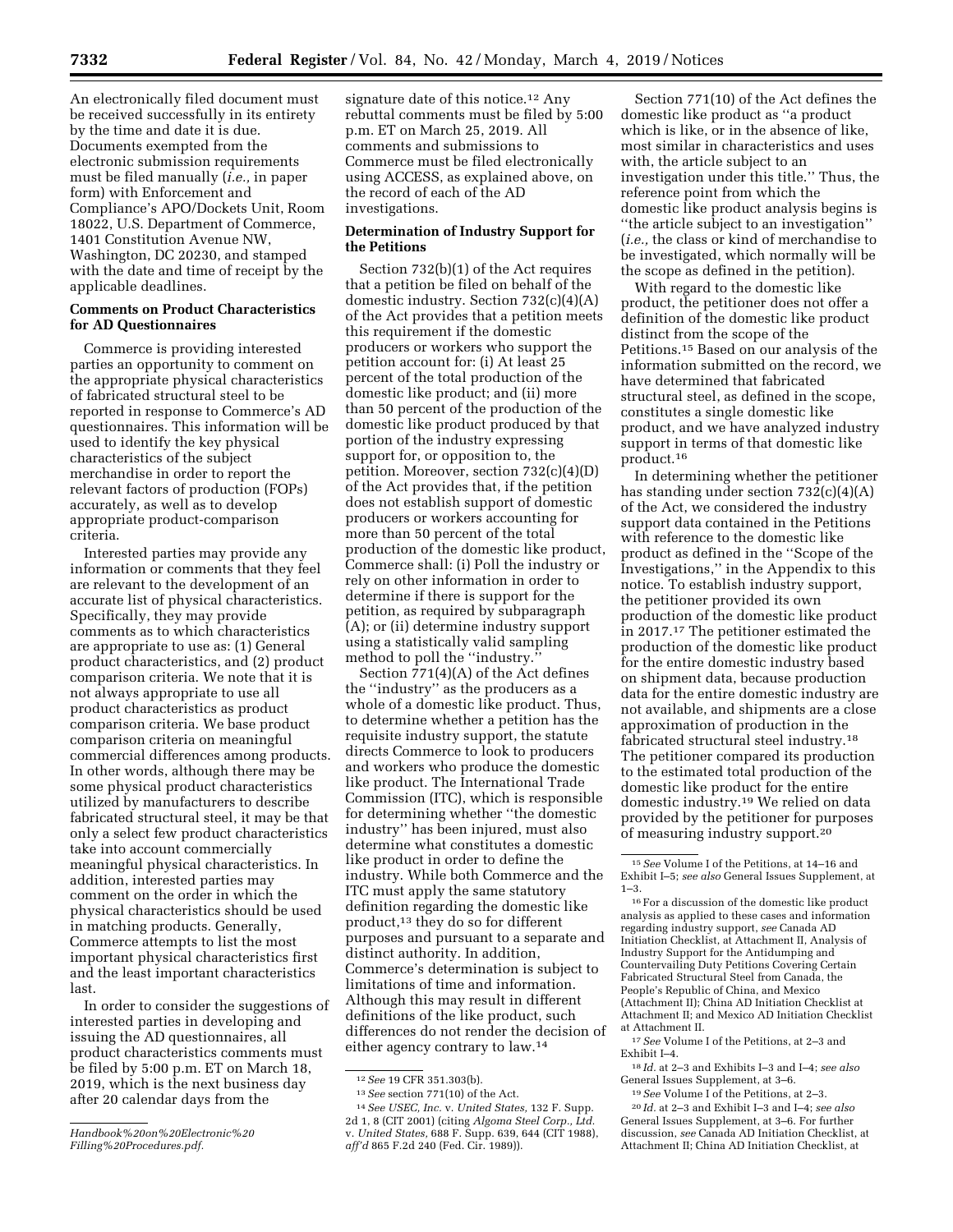An electronically filed document must be received successfully in its entirety by the time and date it is due. Documents exempted from the electronic submission requirements must be filed manually (*i.e.,* in paper form) with Enforcement and Compliance's APO/Dockets Unit, Room 18022, U.S. Department of Commerce, 1401 Constitution Avenue NW, Washington, DC 20230, and stamped with the date and time of receipt by the applicable deadlines.

## **Comments on Product Characteristics for AD Questionnaires**

Commerce is providing interested parties an opportunity to comment on the appropriate physical characteristics of fabricated structural steel to be reported in response to Commerce's AD questionnaires. This information will be used to identify the key physical characteristics of the subject merchandise in order to report the relevant factors of production (FOPs) accurately, as well as to develop appropriate product-comparison criteria.

Interested parties may provide any information or comments that they feel are relevant to the development of an accurate list of physical characteristics. Specifically, they may provide comments as to which characteristics are appropriate to use as: (1) General product characteristics, and (2) product comparison criteria. We note that it is not always appropriate to use all product characteristics as product comparison criteria. We base product comparison criteria on meaningful commercial differences among products. In other words, although there may be some physical product characteristics utilized by manufacturers to describe fabricated structural steel, it may be that only a select few product characteristics take into account commercially meaningful physical characteristics. In addition, interested parties may comment on the order in which the physical characteristics should be used in matching products. Generally, Commerce attempts to list the most important physical characteristics first and the least important characteristics last.

In order to consider the suggestions of interested parties in developing and issuing the AD questionnaires, all product characteristics comments must be filed by 5:00 p.m. ET on March 18, 2019, which is the next business day after 20 calendar days from the

signature date of this notice.<sup>12</sup> Any rebuttal comments must be filed by 5:00 p.m. ET on March 25, 2019. All comments and submissions to Commerce must be filed electronically using ACCESS, as explained above, on the record of each of the AD investigations.

## **Determination of Industry Support for the Petitions**

Section 732(b)(1) of the Act requires that a petition be filed on behalf of the domestic industry. Section 732(c)(4)(A) of the Act provides that a petition meets this requirement if the domestic producers or workers who support the petition account for: (i) At least 25 percent of the total production of the domestic like product; and (ii) more than 50 percent of the production of the domestic like product produced by that portion of the industry expressing support for, or opposition to, the petition. Moreover, section 732(c)(4)(D) of the Act provides that, if the petition does not establish support of domestic producers or workers accounting for more than 50 percent of the total production of the domestic like product, Commerce shall: (i) Poll the industry or rely on other information in order to determine if there is support for the petition, as required by subparagraph (A); or (ii) determine industry support using a statistically valid sampling method to poll the ''industry.''

Section 771(4)(A) of the Act defines the ''industry'' as the producers as a whole of a domestic like product. Thus, to determine whether a petition has the requisite industry support, the statute directs Commerce to look to producers and workers who produce the domestic like product. The International Trade Commission (ITC), which is responsible for determining whether ''the domestic industry'' has been injured, must also determine what constitutes a domestic like product in order to define the industry. While both Commerce and the ITC must apply the same statutory definition regarding the domestic like product,13 they do so for different purposes and pursuant to a separate and distinct authority. In addition, Commerce's determination is subject to limitations of time and information. Although this may result in different definitions of the like product, such differences do not render the decision of either agency contrary to law.14

Section 771(10) of the Act defines the domestic like product as ''a product which is like, or in the absence of like, most similar in characteristics and uses with, the article subject to an investigation under this title.'' Thus, the reference point from which the domestic like product analysis begins is ''the article subject to an investigation'' (*i.e.,* the class or kind of merchandise to be investigated, which normally will be the scope as defined in the petition).

With regard to the domestic like product, the petitioner does not offer a definition of the domestic like product distinct from the scope of the Petitions.15 Based on our analysis of the information submitted on the record, we have determined that fabricated structural steel, as defined in the scope, constitutes a single domestic like product, and we have analyzed industry support in terms of that domestic like product.16

In determining whether the petitioner has standing under section 732(c)(4)(A) of the Act, we considered the industry support data contained in the Petitions with reference to the domestic like product as defined in the ''Scope of the Investigations,'' in the Appendix to this notice. To establish industry support, the petitioner provided its own production of the domestic like product in 2017.17 The petitioner estimated the production of the domestic like product for the entire domestic industry based on shipment data, because production data for the entire domestic industry are not available, and shipments are a close approximation of production in the fabricated structural steel industry.18 The petitioner compared its production to the estimated total production of the domestic like product for the entire domestic industry.19 We relied on data provided by the petitioner for purposes of measuring industry support.20

18 *Id.* at 2–3 and Exhibits I–3 and I–4; *see also*  General Issues Supplement, at 3–6.

19*See* Volume I of the Petitions, at 2–3.

20 *Id.* at 2–3 and Exhibit I–3 and I–4; *see also*  General Issues Supplement, at 3–6. For further discussion, *see* Canada AD Initiation Checklist, at Attachment II; China AD Initiation Checklist, at

*Handbook%20on%20Electronic%20 Filling%20Procedures.pdf.* 

<sup>12</sup>*See* 19 CFR 351.303(b).

<sup>13</sup>*See* section 771(10) of the Act.

<sup>14</sup>*See USEC, Inc.* v. *United States,* 132 F. Supp. 2d 1, 8 (CIT 2001) (citing *Algoma Steel Corp., Ltd.*  v. *United States,* 688 F. Supp. 639, 644 (CIT 1988), *aff'd* 865 F.2d 240 (Fed. Cir. 1989)).

<sup>15</sup>*See* Volume I of the Petitions, at 14–16 and Exhibit I–5; *see also* General Issues Supplement, at 1–3.

 $^{\rm 16}$  For a discussion of the domestic like product analysis as applied to these cases and information regarding industry support, *see* Canada AD Initiation Checklist, at Attachment II, Analysis of Industry Support for the Antidumping and Countervailing Duty Petitions Covering Certain Fabricated Structural Steel from Canada, the People's Republic of China, and Mexico (Attachment II); China AD Initiation Checklist at Attachment II; and Mexico AD Initiation Checklist at Attachment II.

<sup>17</sup>*See* Volume I of the Petitions, at 2–3 and Exhibit I–4.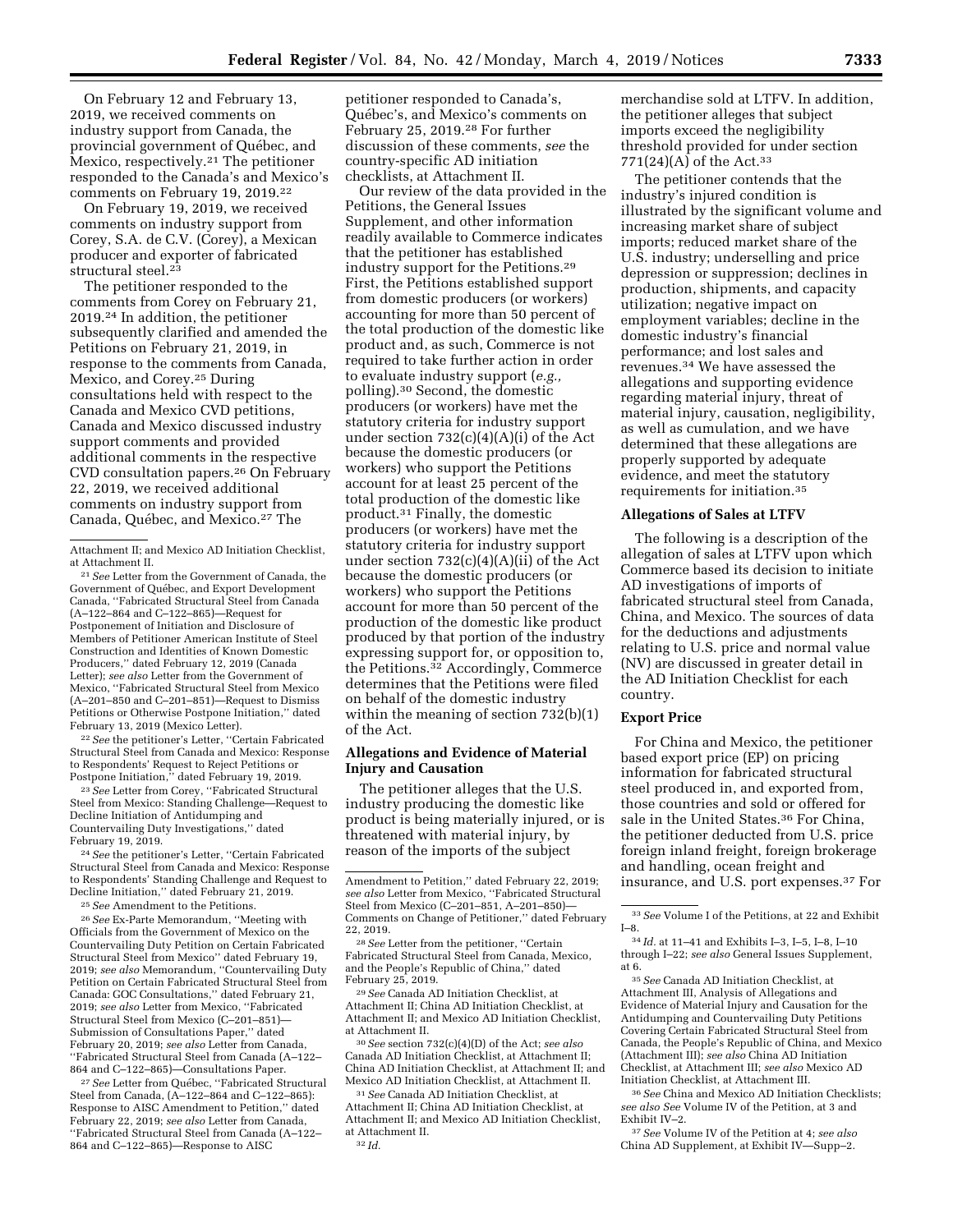On February 12 and February 13, 2019, we received comments on industry support from Canada, the provincial government of Québec, and Mexico, respectively.21 The petitioner responded to the Canada's and Mexico's comments on February 19, 2019.<sup>22</sup>

On February 19, 2019, we received comments on industry support from Corey, S.A. de C.V. (Corey), a Mexican producer and exporter of fabricated structural steel.23

The petitioner responded to the comments from Corey on February 21, 2019.24 In addition, the petitioner subsequently clarified and amended the Petitions on February 21, 2019, in response to the comments from Canada, Mexico, and Corey.25 During consultations held with respect to the Canada and Mexico CVD petitions, Canada and Mexico discussed industry support comments and provided additional comments in the respective CVD consultation papers.26 On February 22, 2019, we received additional comments on industry support from Canada, Québec, and Mexico.<sup>27</sup> The

21*See* Letter from the Government of Canada, the Government of Québec, and Export Development Canada, ''Fabricated Structural Steel from Canada (A–122–864 and C–122–865)—Request for Postponement of Initiation and Disclosure of Members of Petitioner American Institute of Steel Construction and Identities of Known Domestic Producers,'' dated February 12, 2019 (Canada Letter); *see also* Letter from the Government of Mexico, ''Fabricated Structural Steel from Mexico (A–201–850 and C–201–851)—Request to Dismiss Petitions or Otherwise Postpone Initiation,'' dated February 13, 2019 (Mexico Letter).

22*See* the petitioner's Letter, ''Certain Fabricated Structural Steel from Canada and Mexico: Response to Respondents' Request to Reject Petitions or Postpone Initiation,'' dated February 19, 2019.

23*See* Letter from Corey, ''Fabricated Structural Steel from Mexico: Standing Challenge—Request to Decline Initiation of Antidumping and Countervailing Duty Investigations,'' dated February 19, 2019.

24*See* the petitioner's Letter, ''Certain Fabricated Structural Steel from Canada and Mexico: Response to Respondents' Standing Challenge and Request to Decline Initiation,'' dated February 21, 2019.

25*See* Amendment to the Petitions.

26*See* Ex-Parte Memorandum, ''Meeting with Officials from the Government of Mexico on the Countervailing Duty Petition on Certain Fabricated Structural Steel from Mexico'' dated February 19, 2019; *see also* Memorandum, ''Countervailing Duty Petition on Certain Fabricated Structural Steel from Canada: GOC Consultations,'' dated February 21, 2019; *see also* Letter from Mexico, ''Fabricated Structural Steel from Mexico (C–201–851)— Submission of Consultations Paper,'' dated February 20, 2019; *see also* Letter from Canada, ''Fabricated Structural Steel from Canada (A–122– 864 and C–122–865)—Consultations Paper.

<sup>27</sup> See Letter from Québec, "Fabricated Structural Steel from Canada, (A–122–864 and C–122–865): Response to AISC Amendment to Petition,'' dated February 22, 2019; *see also* Letter from Canada, ''Fabricated Structural Steel from Canada (A–122– 864 and C–122–865)—Response to AISC

petitioner responded to Canada's, Québec's, and Mexico's comments on February 25, 2019.28 For further discussion of these comments, *see* the country-specific AD initiation checklists, at Attachment II.

Our review of the data provided in the Petitions, the General Issues Supplement, and other information readily available to Commerce indicates that the petitioner has established industry support for the Petitions.29 First, the Petitions established support from domestic producers (or workers) accounting for more than 50 percent of the total production of the domestic like product and, as such, Commerce is not required to take further action in order to evaluate industry support (*e.g.,*  polling).30 Second, the domestic producers (or workers) have met the statutory criteria for industry support under section 732(c)(4)(A)(i) of the Act because the domestic producers (or workers) who support the Petitions account for at least 25 percent of the total production of the domestic like product.31 Finally, the domestic producers (or workers) have met the statutory criteria for industry support under section 732(c)(4)(A)(ii) of the Act because the domestic producers (or workers) who support the Petitions account for more than 50 percent of the production of the domestic like product produced by that portion of the industry expressing support for, or opposition to, the Petitions.32 Accordingly, Commerce determines that the Petitions were filed on behalf of the domestic industry within the meaning of section 732(b)(1) of the Act.

## **Allegations and Evidence of Material Injury and Causation**

The petitioner alleges that the U.S. industry producing the domestic like product is being materially injured, or is threatened with material injury, by reason of the imports of the subject

<sup>28</sup> See Letter from the petitioner, "Certain Fabricated Structural Steel from Canada, Mexico, and the People's Republic of China,'' dated

<sup>29</sup> See Canada AD Initiation Checklist, at Attachment II; China AD Initiation Checklist, at Attachment II; and Mexico AD Initiation Checklist, at Attachment II.

30*See* section 732(c)(4)(D) of the Act; *see also*  Canada AD Initiation Checklist, at Attachment II; China AD Initiation Checklist, at Attachment II; and Mexico AD Initiation Checklist, at Attachment II.

31*See* Canada AD Initiation Checklist, at Attachment II; China AD Initiation Checklist, at Attachment II; and Mexico AD Initiation Checklist, at Attachment II. 32 *Id.* 

merchandise sold at LTFV. In addition, the petitioner alleges that subject imports exceed the negligibility threshold provided for under section 771(24)(A) of the Act.<sup>33</sup>

The petitioner contends that the industry's injured condition is illustrated by the significant volume and increasing market share of subject imports; reduced market share of the U.S. industry; underselling and price depression or suppression; declines in production, shipments, and capacity utilization; negative impact on employment variables; decline in the domestic industry's financial performance; and lost sales and revenues.34 We have assessed the allegations and supporting evidence regarding material injury, threat of material injury, causation, negligibility, as well as cumulation, and we have determined that these allegations are properly supported by adequate evidence, and meet the statutory requirements for initiation.35

## **Allegations of Sales at LTFV**

The following is a description of the allegation of sales at LTFV upon which Commerce based its decision to initiate AD investigations of imports of fabricated structural steel from Canada, China, and Mexico. The sources of data for the deductions and adjustments relating to U.S. price and normal value (NV) are discussed in greater detail in the AD Initiation Checklist for each country.

## **Export Price**

For China and Mexico, the petitioner based export price (EP) on pricing information for fabricated structural steel produced in, and exported from, those countries and sold or offered for sale in the United States.36 For China, the petitioner deducted from U.S. price foreign inland freight, foreign brokerage and handling, ocean freight and insurance, and U.S. port expenses.37 For

35*See* Canada AD Initiation Checklist, at Attachment III, Analysis of Allegations and Evidence of Material Injury and Causation for the Antidumping and Countervailing Duty Petitions Covering Certain Fabricated Structural Steel from Canada, the People's Republic of China, and Mexico (Attachment III); *see also* China AD Initiation Checklist, at Attachment III; *see also* Mexico AD Initiation Checklist, at Attachment III.

36*See* China and Mexico AD Initiation Checklists; *see also See* Volume IV of the Petition, at 3 and Exhibit IV–2.

37*See* Volume IV of the Petition at 4; *see also*  China AD Supplement, at Exhibit IV—Supp–2.

Attachment II; and Mexico AD Initiation Checklist, at Attachment II.

Amendment to Petition,'' dated February 22, 2019; *see also* Letter from Mexico, ''Fabricated Structural Steel from Mexico (C–201–851, A–201–850)— Comments on Change of Petitioner," dated February<br>22–2019

<sup>33</sup>*See* Volume I of the Petitions, at 22 and Exhibit I–8.

<sup>34</sup> *Id.* at 11–41 and Exhibits I–3, I–5, I–8, I–10 through I–22; *see also* General Issues Supplement, at 6.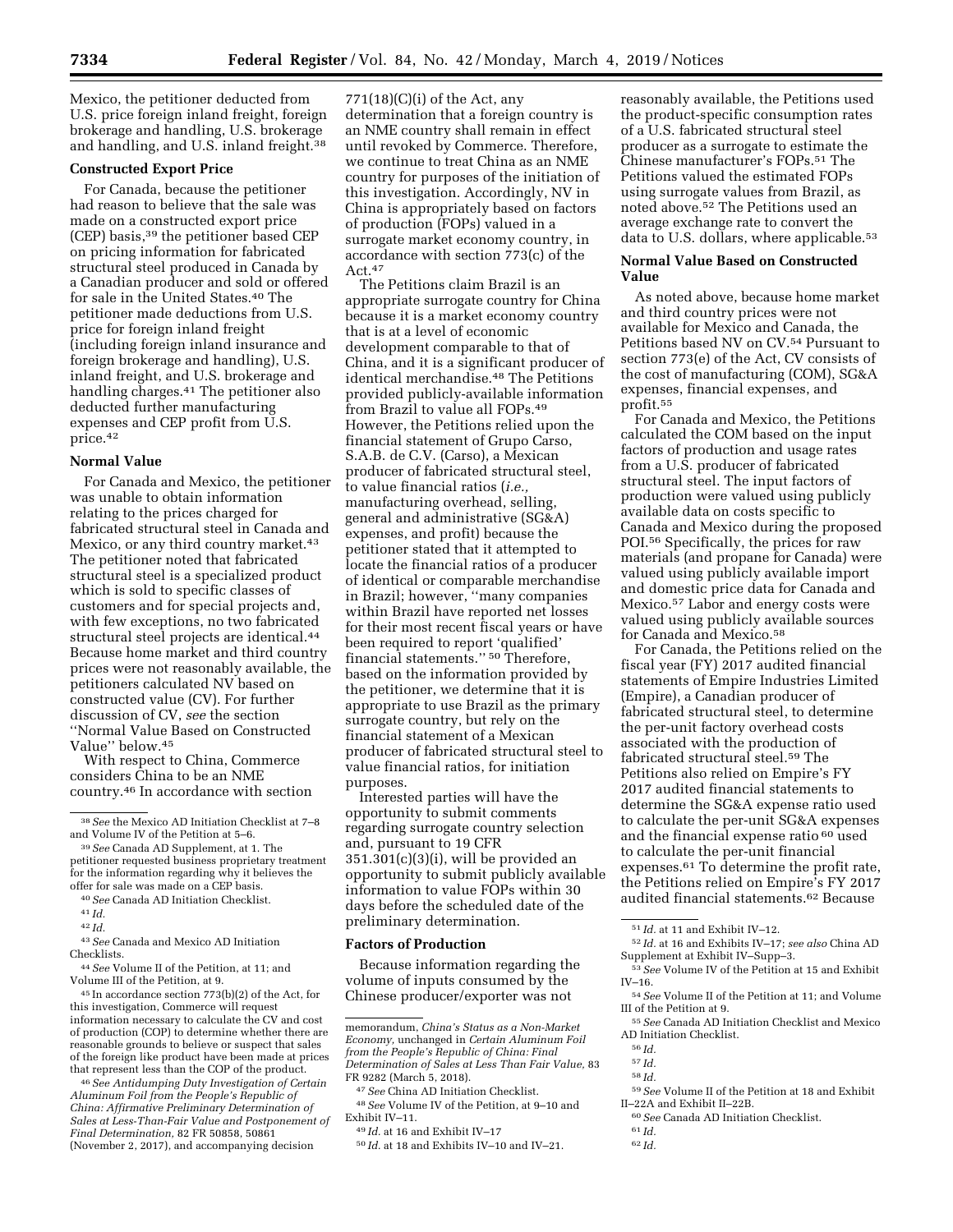Mexico, the petitioner deducted from U.S. price foreign inland freight, foreign brokerage and handling, U.S. brokerage and handling, and U.S. inland freight.38

### **Constructed Export Price**

For Canada, because the petitioner had reason to believe that the sale was made on a constructed export price (CEP) basis,39 the petitioner based CEP on pricing information for fabricated structural steel produced in Canada by a Canadian producer and sold or offered for sale in the United States.40 The petitioner made deductions from U.S. price for foreign inland freight (including foreign inland insurance and foreign brokerage and handling), U.S. inland freight, and U.S. brokerage and handling charges.41 The petitioner also deducted further manufacturing expenses and CEP profit from U.S. price.42

### **Normal Value**

For Canada and Mexico, the petitioner was unable to obtain information relating to the prices charged for fabricated structural steel in Canada and Mexico, or any third country market.<sup>43</sup> The petitioner noted that fabricated structural steel is a specialized product which is sold to specific classes of customers and for special projects and, with few exceptions, no two fabricated structural steel projects are identical.44 Because home market and third country prices were not reasonably available, the petitioners calculated NV based on constructed value (CV). For further discussion of CV, *see* the section ''Normal Value Based on Constructed Value'' below.45

With respect to China, Commerce considers China to be an NME country.46 In accordance with section

- 40*See* Canada AD Initiation Checklist.
- 41 *Id.*
- 42 *Id.*

44*See* Volume II of the Petition, at 11; and Volume III of the Petition, at 9.

45 In accordance section 773(b)(2) of the Act, for this investigation, Commerce will request information necessary to calculate the CV and cost of production (COP) to determine whether there are reasonable grounds to believe or suspect that sales of the foreign like product have been made at prices that represent less than the COP of the product.

46*See Antidumping Duty Investigation of Certain Aluminum Foil from the People's Republic of China: Affirmative Preliminary Determination of Sales at Less-Than-Fair Value and Postponement of Final Determination,* 82 FR 50858, 50861 (November 2, 2017), and accompanying decision

 $771(18)(C)(i)$  of the Act, any determination that a foreign country is an NME country shall remain in effect until revoked by Commerce. Therefore, we continue to treat China as an NME country for purposes of the initiation of this investigation. Accordingly, NV in China is appropriately based on factors of production (FOPs) valued in a surrogate market economy country, in accordance with section 773(c) of the  $Act.<sup>47</sup>$ 

The Petitions claim Brazil is an appropriate surrogate country for China because it is a market economy country that is at a level of economic development comparable to that of China, and it is a significant producer of identical merchandise.48 The Petitions provided publicly-available information from Brazil to value all FOPs.49 However, the Petitions relied upon the financial statement of Grupo Carso, S.A.B. de C.V. (Carso), a Mexican producer of fabricated structural steel, to value financial ratios (*i.e.,*  manufacturing overhead, selling, general and administrative (SG&A) expenses, and profit) because the petitioner stated that it attempted to locate the financial ratios of a producer of identical or comparable merchandise in Brazil; however, ''many companies within Brazil have reported net losses for their most recent fiscal years or have been required to report 'qualified' financial statements.'' 50 Therefore, based on the information provided by the petitioner, we determine that it is appropriate to use Brazil as the primary surrogate country, but rely on the financial statement of a Mexican producer of fabricated structural steel to value financial ratios, for initiation purposes.

Interested parties will have the opportunity to submit comments regarding surrogate country selection and, pursuant to 19 CFR 351.301(c)(3)(i), will be provided an opportunity to submit publicly available information to value FOPs within 30 days before the scheduled date of the preliminary determination.

## **Factors of Production**

Because information regarding the volume of inputs consumed by the Chinese producer/exporter was not

memorandum, *China's Status as a Non-Market Economy,* unchanged in *Certain Aluminum Foil from the People's Republic of China: Final Determination of Sales at Less Than Fair Value,* 83 FR 9282 (March 5, 2018).

48*See* Volume IV of the Petition, at 9–10 and Exhibit IV–11.

reasonably available, the Petitions used the product-specific consumption rates of a U.S. fabricated structural steel producer as a surrogate to estimate the Chinese manufacturer's FOPs.51 The Petitions valued the estimated FOPs using surrogate values from Brazil, as noted above.52 The Petitions used an average exchange rate to convert the data to U.S. dollars, where applicable.<sup>53</sup>

### **Normal Value Based on Constructed Value**

As noted above, because home market and third country prices were not available for Mexico and Canada, the Petitions based NV on CV.54 Pursuant to section 773(e) of the Act, CV consists of the cost of manufacturing (COM), SG&A expenses, financial expenses, and profit.55

For Canada and Mexico, the Petitions calculated the COM based on the input factors of production and usage rates from a U.S. producer of fabricated structural steel. The input factors of production were valued using publicly available data on costs specific to Canada and Mexico during the proposed POI.56 Specifically, the prices for raw materials (and propane for Canada) were valued using publicly available import and domestic price data for Canada and Mexico.57 Labor and energy costs were valued using publicly available sources for Canada and Mexico.58

For Canada, the Petitions relied on the fiscal year (FY) 2017 audited financial statements of Empire Industries Limited (Empire), a Canadian producer of fabricated structural steel, to determine the per-unit factory overhead costs associated with the production of fabricated structural steel.59 The Petitions also relied on Empire's FY 2017 audited financial statements to determine the SG&A expense ratio used to calculate the per-unit SG&A expenses and the financial expense ratio 60 used to calculate the per-unit financial expenses.61 To determine the profit rate, the Petitions relied on Empire's FY 2017 audited financial statements.62 Because

- 59*See* Volume II of the Petition at 18 and Exhibit II–22A and Exhibit II–22B.
- 60*See* Canada AD Initiation Checklist.
- 61 *Id.*  62 *Id.*

<sup>38</sup>*See* the Mexico AD Initiation Checklist at 7–8 and Volume IV of the Petition at 5–6.

<sup>39</sup>*See* Canada AD Supplement, at 1. The petitioner requested business proprietary treatment for the information regarding why it believes the offer for sale was made on a CEP basis.

<sup>43</sup>*See* Canada and Mexico AD Initiation Checklists.

<sup>47</sup>*See* China AD Initiation Checklist.

<sup>49</sup> *Id.* at 16 and Exhibit IV–17

<sup>50</sup> *Id.* at 18 and Exhibits IV–10 and IV–21.

<sup>51</sup> *Id.* at 11 and Exhibit IV–12.

<sup>52</sup> *Id.* at 16 and Exhibits IV–17; *see also* China AD Supplement at Exhibit IV–Supp–3.

<sup>53</sup>*See* Volume IV of the Petition at 15 and Exhibit IV–16.

<sup>54</sup>*See* Volume II of the Petition at 11; and Volume III of the Petition at 9.

<sup>55</sup>*See* Canada AD Initiation Checklist and Mexico AD Initiation Checklist.

<sup>56</sup> *Id.* 

<sup>57</sup> *Id.*  58 *Id.*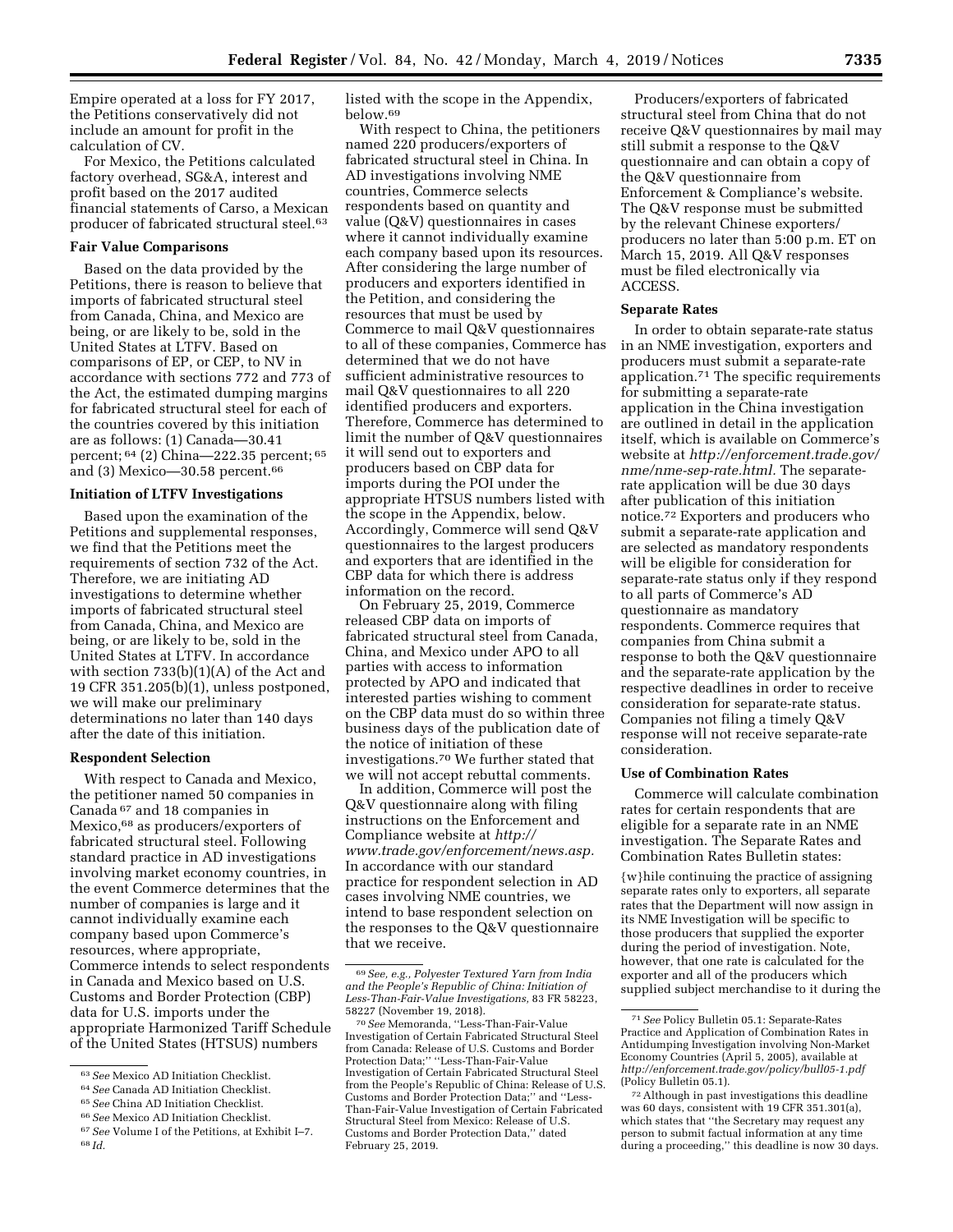Empire operated at a loss for FY 2017, the Petitions conservatively did not include an amount for profit in the calculation of CV.

For Mexico, the Petitions calculated factory overhead, SG&A, interest and profit based on the 2017 audited financial statements of Carso, a Mexican producer of fabricated structural steel.63

#### **Fair Value Comparisons**

Based on the data provided by the Petitions, there is reason to believe that imports of fabricated structural steel from Canada, China, and Mexico are being, or are likely to be, sold in the United States at LTFV. Based on comparisons of EP, or CEP, to NV in accordance with sections 772 and 773 of the Act, the estimated dumping margins for fabricated structural steel for each of the countries covered by this initiation are as follows: (1) Canada—30.41 percent; 64 (2) China—222.35 percent; 65 and (3) Mexico—30.58 percent.66

### **Initiation of LTFV Investigations**

Based upon the examination of the Petitions and supplemental responses, we find that the Petitions meet the requirements of section 732 of the Act. Therefore, we are initiating AD investigations to determine whether imports of fabricated structural steel from Canada, China, and Mexico are being, or are likely to be, sold in the United States at LTFV. In accordance with section 733(b)(1)(A) of the Act and 19 CFR 351.205(b)(1), unless postponed, we will make our preliminary determinations no later than 140 days after the date of this initiation.

#### **Respondent Selection**

With respect to Canada and Mexico, the petitioner named 50 companies in Canada 67 and 18 companies in Mexico,68 as producers/exporters of fabricated structural steel. Following standard practice in AD investigations involving market economy countries, in the event Commerce determines that the number of companies is large and it cannot individually examine each company based upon Commerce's resources, where appropriate, Commerce intends to select respondents in Canada and Mexico based on U.S. Customs and Border Protection (CBP) data for U.S. imports under the appropriate Harmonized Tariff Schedule of the United States (HTSUS) numbers

listed with the scope in the Appendix, below.69

With respect to China, the petitioners named 220 producers/exporters of fabricated structural steel in China. In AD investigations involving NME countries, Commerce selects respondents based on quantity and value (Q&V) questionnaires in cases where it cannot individually examine each company based upon its resources. After considering the large number of producers and exporters identified in the Petition, and considering the resources that must be used by Commerce to mail Q&V questionnaires to all of these companies, Commerce has determined that we do not have sufficient administrative resources to mail Q&V questionnaires to all 220 identified producers and exporters. Therefore, Commerce has determined to limit the number of Q&V questionnaires it will send out to exporters and producers based on CBP data for imports during the POI under the appropriate HTSUS numbers listed with the scope in the Appendix, below. Accordingly, Commerce will send Q&V questionnaires to the largest producers and exporters that are identified in the CBP data for which there is address information on the record.

On February 25, 2019, Commerce released CBP data on imports of fabricated structural steel from Canada, China, and Mexico under APO to all parties with access to information protected by APO and indicated that interested parties wishing to comment on the CBP data must do so within three business days of the publication date of the notice of initiation of these investigations.70 We further stated that we will not accept rebuttal comments.

In addition, Commerce will post the Q&V questionnaire along with filing instructions on the Enforcement and Compliance website at *http:// www.trade.gov/enforcement/news.asp.*  In accordance with our standard practice for respondent selection in AD cases involving NME countries, we intend to base respondent selection on the responses to the Q&V questionnaire that we receive.

Producers/exporters of fabricated structural steel from China that do not receive Q&V questionnaires by mail may still submit a response to the Q&V questionnaire and can obtain a copy of the Q&V questionnaire from Enforcement & Compliance's website. The Q&V response must be submitted by the relevant Chinese exporters/ producers no later than 5:00 p.m. ET on March 15, 2019. All Q&V responses must be filed electronically via ACCESS.

#### **Separate Rates**

In order to obtain separate-rate status in an NME investigation, exporters and producers must submit a separate-rate application.71 The specific requirements for submitting a separate-rate application in the China investigation are outlined in detail in the application itself, which is available on Commerce's website at *http://enforcement.trade.gov/ nme/nme-sep-rate.html.* The separaterate application will be due 30 days after publication of this initiation notice.72 Exporters and producers who submit a separate-rate application and are selected as mandatory respondents will be eligible for consideration for separate-rate status only if they respond to all parts of Commerce's AD questionnaire as mandatory respondents. Commerce requires that companies from China submit a response to both the Q&V questionnaire and the separate-rate application by the respective deadlines in order to receive consideration for separate-rate status. Companies not filing a timely Q&V response will not receive separate-rate consideration.

### **Use of Combination Rates**

Commerce will calculate combination rates for certain respondents that are eligible for a separate rate in an NME investigation. The Separate Rates and Combination Rates Bulletin states:

{w}hile continuing the practice of assigning separate rates only to exporters, all separate rates that the Department will now assign in its NME Investigation will be specific to those producers that supplied the exporter during the period of investigation. Note, however, that one rate is calculated for the exporter and all of the producers which supplied subject merchandise to it during the

<sup>63</sup>*See* Mexico AD Initiation Checklist.

<sup>64</sup>*See* Canada AD Initiation Checklist.

<sup>65</sup>*See* China AD Initiation Checklist.

<sup>66</sup>*See* Mexico AD Initiation Checklist.

<sup>67</sup>*See* Volume I of the Petitions, at Exhibit I–7. 68 *Id.* 

<sup>69</sup>*See, e.g., Polyester Textured Yarn from India and the People's Republic of China: Initiation of Less-Than-Fair-Value Investigations,* 83 FR 58223,

<sup>58227 (</sup>November 19, 2018). 70*See* Memoranda, ''Less-Than-Fair-Value Investigation of Certain Fabricated Structural Steel from Canada: Release of U.S. Customs and Border Protection Data;'' ''Less-Than-Fair-Value Investigation of Certain Fabricated Structural Steel from the People's Republic of China: Release of U.S. Customs and Border Protection Data;'' and ''Less-Than-Fair-Value Investigation of Certain Fabricated Structural Steel from Mexico: Release of U.S. Customs and Border Protection Data,'' dated February 25, 2019.

<sup>71</sup>*See* Policy Bulletin 05.1: Separate-Rates Practice and Application of Combination Rates in Antidumping Investigation involving Non-Market Economy Countries (April 5, 2005), available at *http://enforcement.trade.gov/policy/bull05-1.pdf*  (Policy Bulletin 05.1).

<sup>72</sup>Although in past investigations this deadline was 60 days, consistent with 19 CFR 351.301(a), which states that ''the Secretary may request any person to submit factual information at any time during a proceeding,'' this deadline is now 30 days.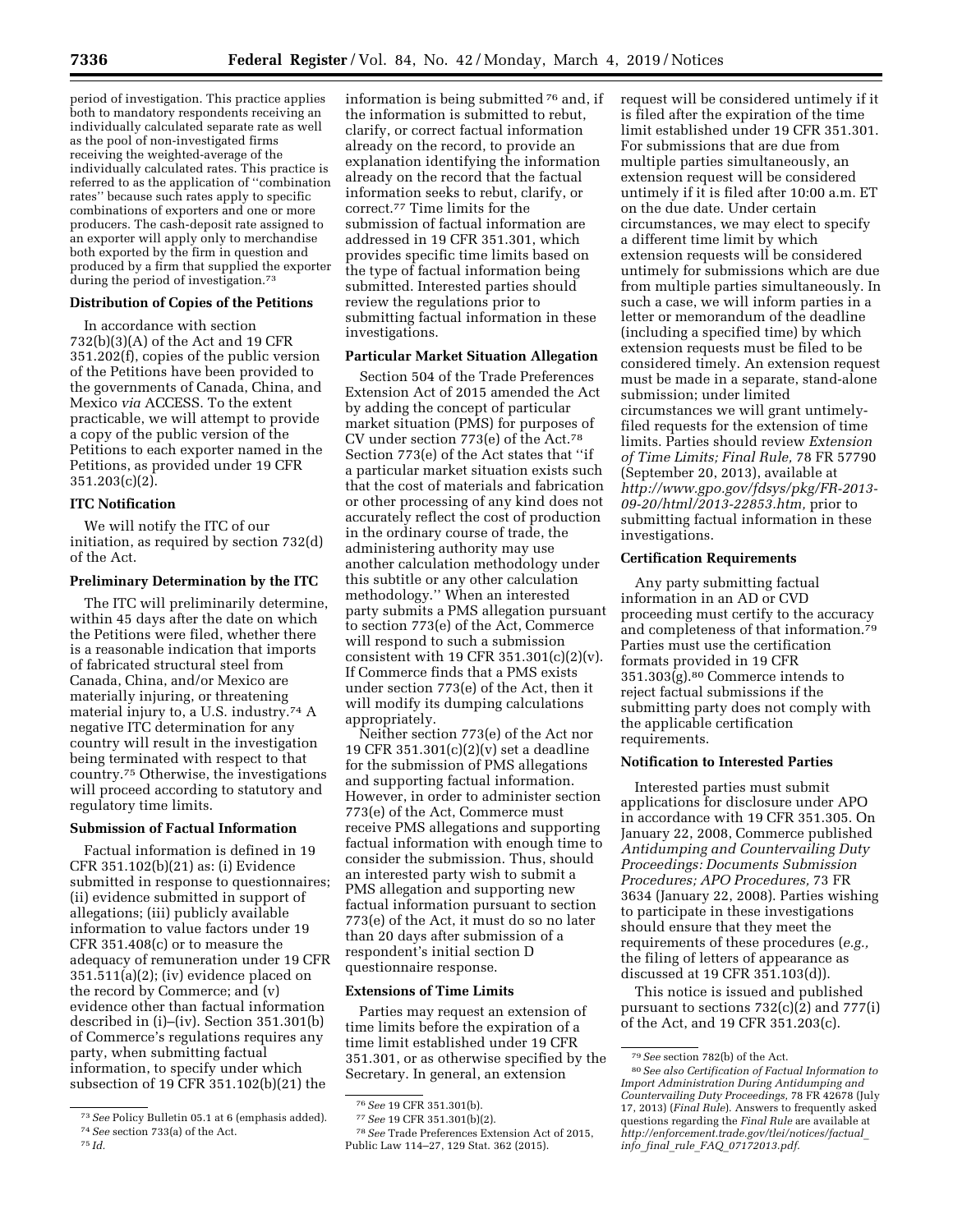period of investigation. This practice applies both to mandatory respondents receiving an individually calculated separate rate as well as the pool of non-investigated firms receiving the weighted-average of the individually calculated rates. This practice is referred to as the application of ''combination rates'' because such rates apply to specific combinations of exporters and one or more producers. The cash-deposit rate assigned to an exporter will apply only to merchandise both exported by the firm in question and produced by a firm that supplied the exporter during the period of investigation.<sup>73</sup>

# **Distribution of Copies of the Petitions**

In accordance with section 732(b)(3)(A) of the Act and 19 CFR 351.202(f), copies of the public version of the Petitions have been provided to the governments of Canada, China, and Mexico *via* ACCESS. To the extent practicable, we will attempt to provide a copy of the public version of the Petitions to each exporter named in the Petitions, as provided under 19 CFR 351.203(c)(2).

## **ITC Notification**

We will notify the ITC of our initiation, as required by section 732(d) of the Act.

## **Preliminary Determination by the ITC**

The ITC will preliminarily determine, within 45 days after the date on which the Petitions were filed, whether there is a reasonable indication that imports of fabricated structural steel from Canada, China, and/or Mexico are materially injuring, or threatening material injury to, a U.S. industry.74 A negative ITC determination for any country will result in the investigation being terminated with respect to that country.75 Otherwise, the investigations will proceed according to statutory and regulatory time limits.

### **Submission of Factual Information**

Factual information is defined in 19 CFR 351.102(b)(21) as: (i) Evidence submitted in response to questionnaires; (ii) evidence submitted in support of allegations; (iii) publicly available information to value factors under 19 CFR 351.408(c) or to measure the adequacy of remuneration under 19 CFR 351.511(a)(2); (iv) evidence placed on the record by Commerce; and (v) evidence other than factual information described in (i)–(iv). Section 351.301(b) of Commerce's regulations requires any party, when submitting factual information, to specify under which subsection of 19 CFR 351.102(b)(21) the

information is being submitted 76 and, if the information is submitted to rebut, clarify, or correct factual information already on the record, to provide an explanation identifying the information already on the record that the factual information seeks to rebut, clarify, or correct.77 Time limits for the submission of factual information are addressed in 19 CFR 351.301, which provides specific time limits based on the type of factual information being submitted. Interested parties should review the regulations prior to submitting factual information in these investigations.

# **Particular Market Situation Allegation**

Section 504 of the Trade Preferences Extension Act of 2015 amended the Act by adding the concept of particular market situation (PMS) for purposes of CV under section 773(e) of the Act.78 Section 773(e) of the Act states that ''if a particular market situation exists such that the cost of materials and fabrication or other processing of any kind does not accurately reflect the cost of production in the ordinary course of trade, the administering authority may use another calculation methodology under this subtitle or any other calculation methodology.'' When an interested party submits a PMS allegation pursuant to section 773(e) of the Act, Commerce will respond to such a submission consistent with 19 CFR 351.301(c)(2)(v). If Commerce finds that a PMS exists under section 773(e) of the Act, then it will modify its dumping calculations appropriately.

Neither section 773(e) of the Act nor 19 CFR 351.301(c)(2)(v) set a deadline for the submission of PMS allegations and supporting factual information. However, in order to administer section 773(e) of the Act, Commerce must receive PMS allegations and supporting factual information with enough time to consider the submission. Thus, should an interested party wish to submit a PMS allegation and supporting new factual information pursuant to section 773(e) of the Act, it must do so no later than 20 days after submission of a respondent's initial section D questionnaire response.

## **Extensions of Time Limits**

Parties may request an extension of time limits before the expiration of a time limit established under 19 CFR 351.301, or as otherwise specified by the Secretary. In general, an extension

request will be considered untimely if it is filed after the expiration of the time limit established under 19 CFR 351.301. For submissions that are due from multiple parties simultaneously, an extension request will be considered untimely if it is filed after 10:00 a.m. ET on the due date. Under certain circumstances, we may elect to specify a different time limit by which extension requests will be considered untimely for submissions which are due from multiple parties simultaneously. In such a case, we will inform parties in a letter or memorandum of the deadline (including a specified time) by which extension requests must be filed to be considered timely. An extension request must be made in a separate, stand-alone submission; under limited circumstances we will grant untimelyfiled requests for the extension of time limits. Parties should review *Extension of Time Limits; Final Rule,* 78 FR 57790 (September 20, 2013), available at *http://www.gpo.gov/fdsys/pkg/FR-2013- 09-20/html/2013-22853.htm,* prior to submitting factual information in these investigations.

## **Certification Requirements**

Any party submitting factual information in an AD or CVD proceeding must certify to the accuracy and completeness of that information.79 Parties must use the certification formats provided in 19 CFR 351.303(g).80 Commerce intends to reject factual submissions if the submitting party does not comply with the applicable certification requirements.

### **Notification to Interested Parties**

Interested parties must submit applications for disclosure under APO in accordance with 19 CFR 351.305. On January 22, 2008, Commerce published *Antidumping and Countervailing Duty Proceedings: Documents Submission Procedures; APO Procedures,* 73 FR 3634 (January 22, 2008). Parties wishing to participate in these investigations should ensure that they meet the requirements of these procedures (*e.g.,*  the filing of letters of appearance as discussed at 19 CFR 351.103(d)).

This notice is issued and published pursuant to sections 732(c)(2) and 777(i) of the Act, and 19 CFR 351.203(c).

<sup>73</sup>*See* Policy Bulletin 05.1 at 6 (emphasis added). 74*See* section 733(a) of the Act.

<sup>75</sup> *Id.* 

<sup>76</sup>*See* 19 CFR 351.301(b).

<sup>77</sup>*See* 19 CFR 351.301(b)(2).

<sup>78</sup>*See* Trade Preferences Extension Act of 2015, Public Law 114–27, 129 Stat. 362 (2015).

<sup>79</sup>*See* section 782(b) of the Act.

<sup>80</sup>*See also Certification of Factual Information to Import Administration During Antidumping and Countervailing Duty Proceedings,* 78 FR 42678 (July 17, 2013) (*Final Rule*). Answers to frequently asked questions regarding the *Final Rule* are available at *http://enforcement.trade.gov/tlei/notices/factual*\_ *info*\_*final*\_*rule*\_*FAQ*\_*07172013.pdf.*